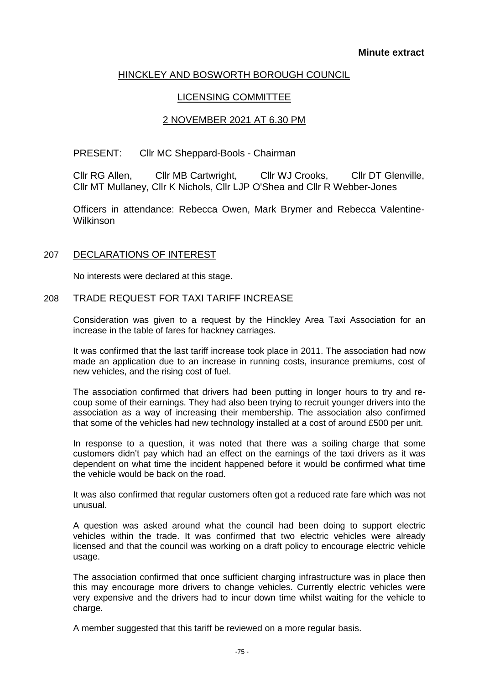# HINCKLEY AND BOSWORTH BOROUGH COUNCIL

## LICENSING COMMITTEE

## 2 NOVEMBER 2021 AT 6.30 PM

### PRESENT: Cllr MC Sheppard-Bools - Chairman

Cllr RG Allen, Cllr MB Cartwright, Cllr WJ Crooks, Cllr DT Glenville, Cllr MT Mullaney, Cllr K Nichols, Cllr LJP O'Shea and Cllr R Webber-Jones

Officers in attendance: Rebecca Owen, Mark Brymer and Rebecca Valentine-Wilkinson

### 207 DECLARATIONS OF INTEREST

No interests were declared at this stage.

### 208 TRADE REQUEST FOR TAXI TARIFF INCREASE

Consideration was given to a request by the Hinckley Area Taxi Association for an increase in the table of fares for hackney carriages.

It was confirmed that the last tariff increase took place in 2011. The association had now made an application due to an increase in running costs, insurance premiums, cost of new vehicles, and the rising cost of fuel.

The association confirmed that drivers had been putting in longer hours to try and recoup some of their earnings. They had also been trying to recruit younger drivers into the association as a way of increasing their membership. The association also confirmed that some of the vehicles had new technology installed at a cost of around £500 per unit.

In response to a question, it was noted that there was a soiling charge that some customers didn't pay which had an effect on the earnings of the taxi drivers as it was dependent on what time the incident happened before it would be confirmed what time the vehicle would be back on the road.

It was also confirmed that regular customers often got a reduced rate fare which was not unusual.

A question was asked around what the council had been doing to support electric vehicles within the trade. It was confirmed that two electric vehicles were already licensed and that the council was working on a draft policy to encourage electric vehicle usage.

The association confirmed that once sufficient charging infrastructure was in place then this may encourage more drivers to change vehicles. Currently electric vehicles were very expensive and the drivers had to incur down time whilst waiting for the vehicle to charge.

A member suggested that this tariff be reviewed on a more regular basis.